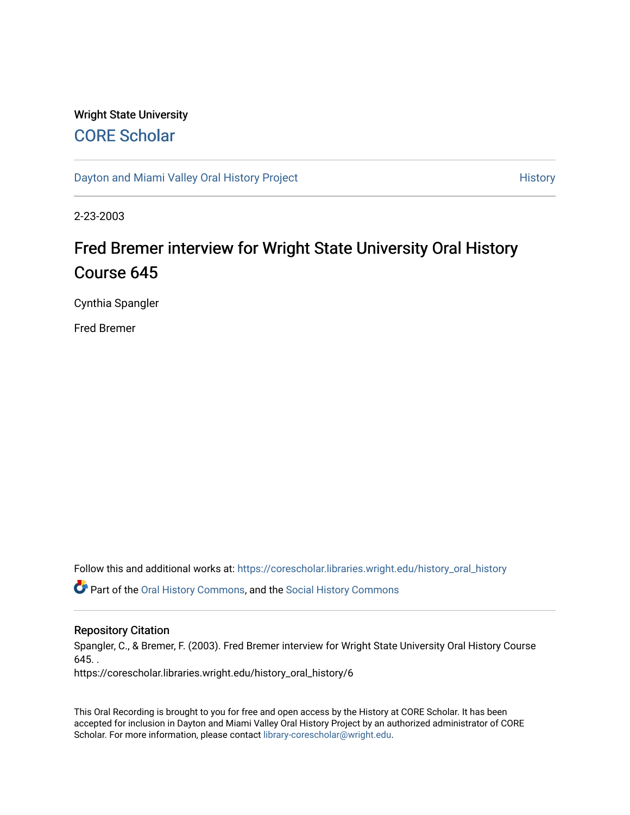## Wright State University [CORE Scholar](https://corescholar.libraries.wright.edu/)

[Dayton and Miami Valley Oral History Project](https://corescholar.libraries.wright.edu/history_oral_history) **History** History

2-23-2003

# Fred Bremer interview for Wright State University Oral History Course 645

Cynthia Spangler

Fred Bremer

Follow this and additional works at: [https://corescholar.libraries.wright.edu/history\\_oral\\_history](https://corescholar.libraries.wright.edu/history_oral_history?utm_source=corescholar.libraries.wright.edu%2Fhistory_oral_history%2F6&utm_medium=PDF&utm_campaign=PDFCoverPages) 

Part of the [Oral History Commons](http://network.bepress.com/hgg/discipline/1195?utm_source=corescholar.libraries.wright.edu%2Fhistory_oral_history%2F6&utm_medium=PDF&utm_campaign=PDFCoverPages), and the [Social History Commons](http://network.bepress.com/hgg/discipline/506?utm_source=corescholar.libraries.wright.edu%2Fhistory_oral_history%2F6&utm_medium=PDF&utm_campaign=PDFCoverPages)

#### Repository Citation

Spangler, C., & Bremer, F. (2003). Fred Bremer interview for Wright State University Oral History Course  $645.$ .

https://corescholar.libraries.wright.edu/history\_oral\_history/6

This Oral Recording is brought to you for free and open access by the History at CORE Scholar. It has been accepted for inclusion in Dayton and Miami Valley Oral History Project by an authorized administrator of CORE Scholar. For more information, please contact [library-corescholar@wright.edu](mailto:library-corescholar@wright.edu).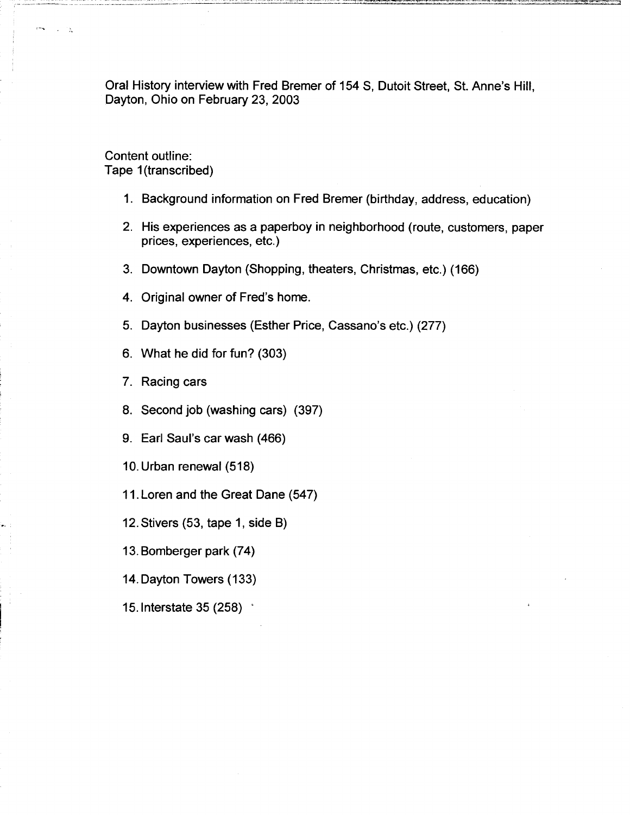Oral History interview with Fred Bremer of 154 S, Dutoit Street, St. Anne's Hill, Dayton, Ohio on February 23, 2003

Content outline: Tape 1(transcribed)

- 1. Background information on Fred Bremer (birthday, address, education)
- 2. His experiences as a paperboy in neighborhood (route, customers, paper prices, experiences, etc.)
- 3. Downtown Dayton (Shopping, theaters, Christmas, etc.) (166)
- 4. Original owner of Fred's home.
- 5. Dayton businesses (Esther Price, Cassano's etc.) (277)
- 6. What he did for fun? (303)
- 7. Racing cars
- 8. Second job (washing cars) (397)
- 9. Earl Saul's car wash (466)
- 10. Urban renewal (518)
- 11. Loren and the Great Dane (547)
- 12. Stivers (53, tape 1, side B)
- 13. Bomberger park (74)
- 14. Dayton Towers (133)
- 15.1nterstate 35 (258) '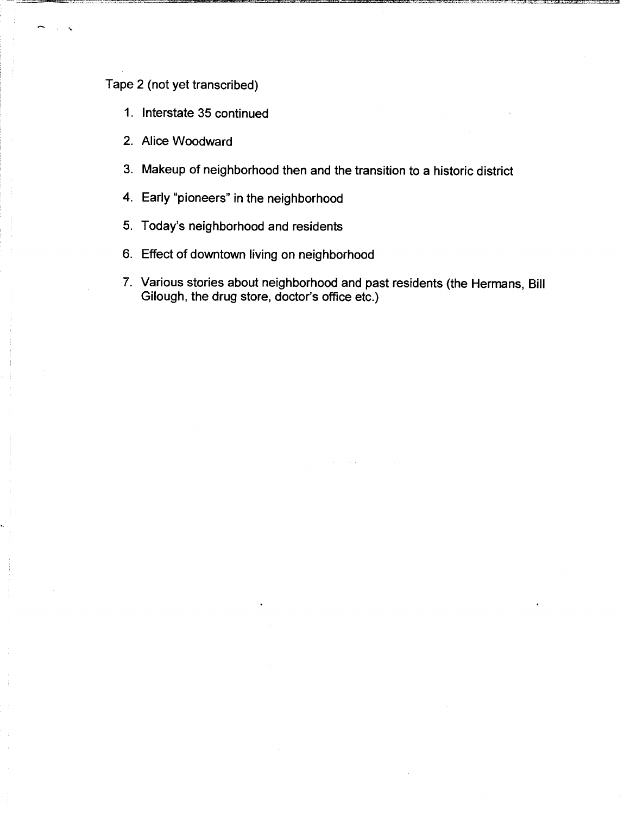## Tape 2 (not yet transcribed)

- 1. Interstate 35 continued
- 2. Alice Woodward
- 3. Makeup of neighborhood then and the transition to a historic district
- 4. Early "pioneers" in the neighborhood
- 5. Today's neighborhood and residents
- 6. Effect of downtown living on neighborhood
- 7. Various stories about neighborhood and past residents (the Hermans, Bill Gilough, the drug store, doctor's office etc.)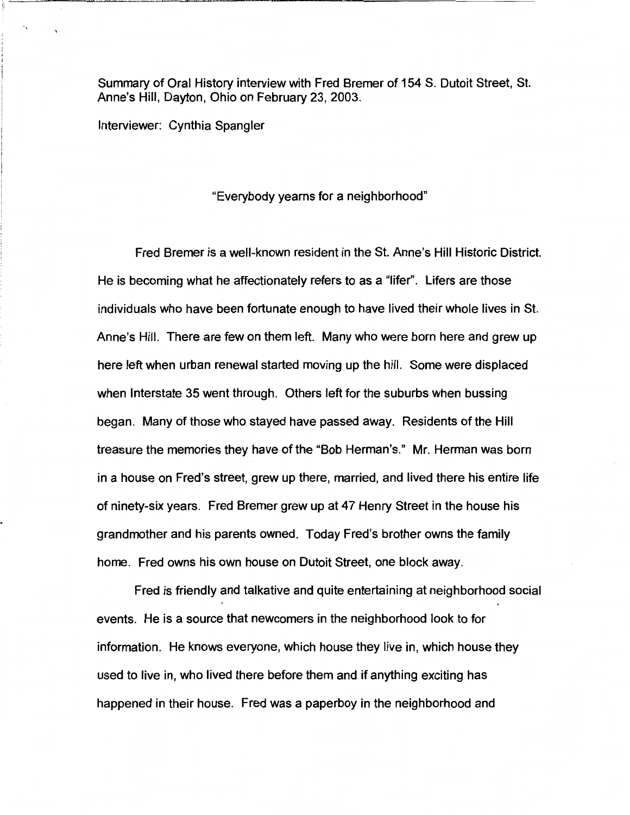Summary of Oral History interview with Fred Bremer of 154 S. Dutoit Street, St. Anne's Hill, Dayton, Ohio on February 23, 2003.

Interviewer: Cynthia Spangler

"Everybody yearns for a neighborhood"

Fred Bremer is a well-known resident in the St. Anne's Hill Historic District. He is becoming what he affectionately refers to as a "lifer''. Lifers are those individuals who have been fortunate enough to have lived their whole lives in St. Anne's Hill. There are few on them left. Many who were bam here and grew up here left when urban renewal started moving up the hill. Some were displaced when Interstate 35 went through. Others left for the suburbs when bussing began. Many of those who stayed have passed away. Residents of the Hill treasure the memories they have of the "Bob Herman's." Mr. Herman was born in a house on Fred's street, grew up there, married, and lived there his entire life of ninety-six years. Fred Bremer grew up at 47 Henry Street in the house his grandmother and his parents owned. Today Fred's brother owns the family home. Fred owns his own house on Dutoit Street, one block away.

Fred is friendly and talkative and quite entertaining at neighborhood social events. He is a source that newcomers in the neighborhood look to for information. He knows everyone, which house they live in, which house they used to live in, who lived there before them and if anything exciting has happened in their house. Fred was a paperboy in the neighborhood and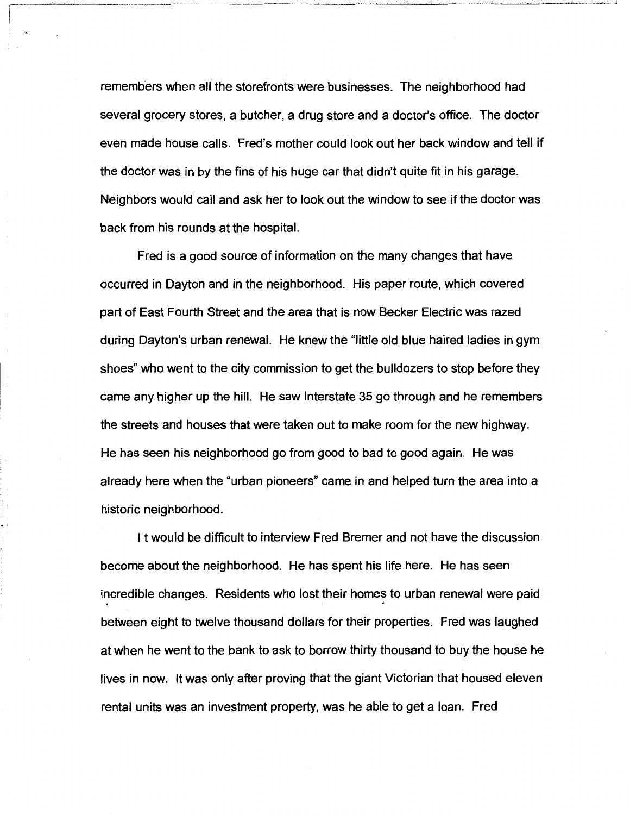remembers when all the storefronts were businesses. The neighborhood had several grocery stores, a butcher, a drug store and a doctor's office. The doctor even made house calls. Fred's mother could look out her back window and tell if the doctor was in by the fins of his huge car that didn't quite fit in his garage. Neighbors would call and ask her to look out the window to see if the doctor was back from his rounds at the hospital.

Fred is a good source of information on the many changes that have occurred in Dayton and in the neighborhood. His paper route, which covered part of East Fourth Street and the area that is now Becker Electric was razed during Dayton's urban renewal. He knew the "little old blue haired ladies in gym shoes" who went to the city commission to get the bulldozers to stop before they came any higher up the hill. He saw Interstate 35 go through and he remembers the streets and houses that were taken out to make room for the new highway. He has seen his neighborhood go from good to bad to good again. He was already here when the "urban pioneers" came in and helped turn the area into a historic neighborhood.

It would be difficult to interview Fred Bremer and not have the discussion become about the neighborhood. He has spent his life here. He has seen incredible changes. Residents who lost their homes to urban renewal were paid between eight to twelve thousand dollars for their properties. Fred was laughed at when he went to the bank to ask to borrow thirty thousand to buy the house he lives in now. It was only after proving that the giant Victorian that housed eleven rental units was an investment property, was he able to get a loan. Fred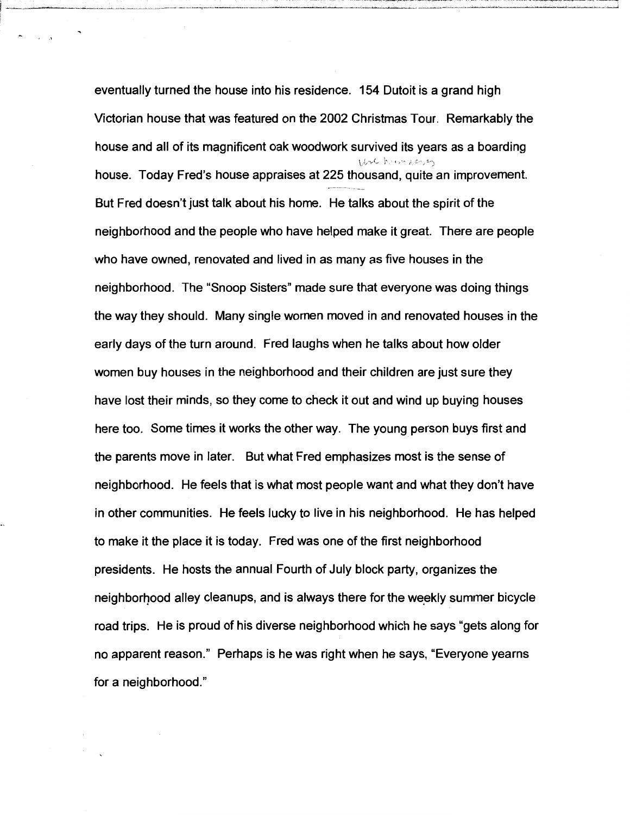eventually turned the house into his residence. 154 Dutoit is a grand high Victorian house that was featured on the 2002 Christmas Tour. Remarkably the house and all of its magnificent oak woodwork survived its years as a boarding house. Today Fred's house appraises at 225 thousand, quite an improvement. But Fred doesn't just talk about his home. He talks about the spirit of the neighborhood and the people who have helped make it great. There are people who have owned, renovated and lived in as many as five houses in the neighborhood. The "Snoop Sisters" made sure that everyone was doing things the way they should. Many single women moved in and renovated houses in the early days of the turn around. Fred laughs when he talks about how older women buy houses in the neighborhood and their children are just sure they have lost their minds, so they come to check it out and wind up buying houses here too. Some times it works the other way. The young person buys first and the parents move in later. But what Fred emphasizes most is the sense of neighborhood. He feels that is what most people want and what they don't have in other communities. He feels lucky to live in his neighborhood. He has helped to make it the place it is today. Fred was one of the first neighborhood presidents. He hosts the annual Fourth of July block party, organizes the neighborhood alley cleanups, and is always there for the weekly summer bicycle road trips. He is proud of his diverse neighborhood which he says "gets along for no apparent reason." Perhaps is he was right when he says, "Everyone yearns for a neighborhood."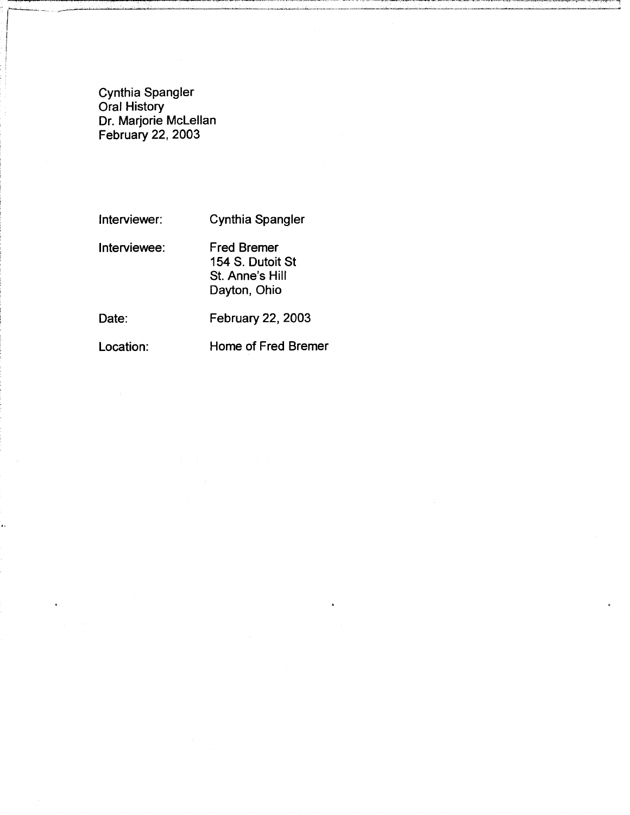Cynthia Spangler Oral History Dr. Marjorie Mclellan February 22, 2003

Interviewer: Cynthia Spangler

Interviewee: Fred Bremer

154 S. Dutoit St St. Anne's Hill Dayton, Ohio

 $\mathbf{I}$ 

j

<sub>ىي</sub>: <sub>مىس</sub>ىسسسى<del> ب</del>

Date: February 22, 2003

Location: **Home of Fred Bremer**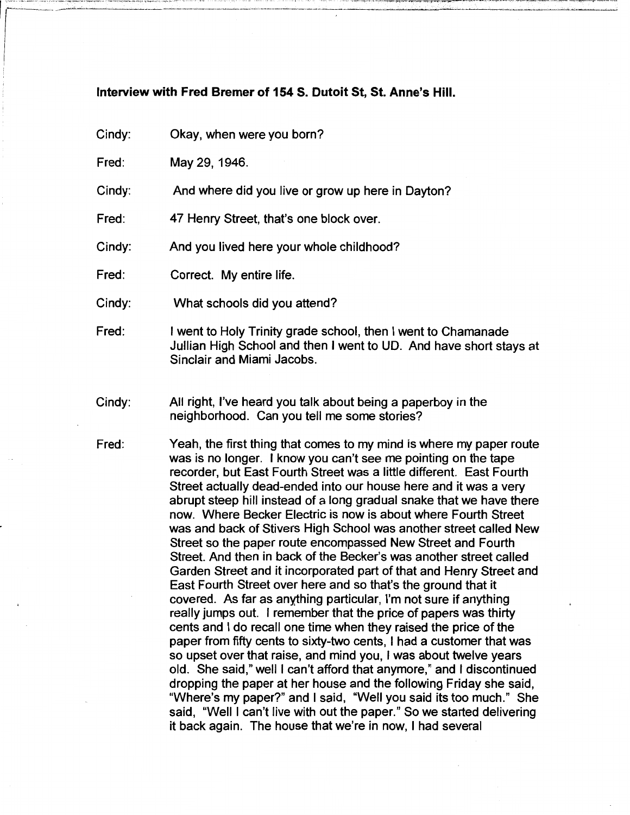#### Interview with Fred Bremer of 154 S. Dutoit St, St. Anne's Hill.

Cindy: Okay, when were you born?

Fred: May 29, 1946.

Cindy: And where did you live or grow up here in Dayton?

Fred: 47 Henry Street, that's one block over.

Cindy: And you lived here your whole childhood?

Fred: Correct. My entire life.

Cindy: What schools did you attend?

Fred: I went to Holy Trinity grade school, then I went to Chamanade Jullian High School and then I went to UD. And have short stays at Sinclair and Miami Jacobs.

Cindy: All right, I've heard you talk about being a paperboy in the neighborhood. Can you tell me some stories?

Fred: Yeah, the first thing that comes to my mind is where my paper route was is no longer. I know you can't see me pointing on the tape recorder, but East Fourth Street was a little different. East Fourth Street actually dead-ended into our house here and it was a very abrupt steep hill instead of a long gradual snake that we have there now. Where Becker Electric is now is about where Fourth Street was and back of Stivers High School was another street called New Street so the paper route encompassed New Street and Fourth Street. And then in back of the Becker's was another street called Garden Street and it incorporated part of that and Henry Street and East Fourth Street over here and so that's the ground that it covered. As far as anything particular, I'm not sure if anything really jumps out. I remember that the price of papers was thirty cents and I do recall one time when they raised the price of the paper from fifty cents to sixty-two cents, I had a customer that was so upset over that raise, and mind you, I was about twelve years old. She said," well I can't afford that anymore," and I discontinued dropping the paper at her house and the following Friday she said, "Where's my paper?" and I said, "Well you said its too much." She said, "Well I can't live with out the paper." So we started delivering it back again. The house that we're in now, I had several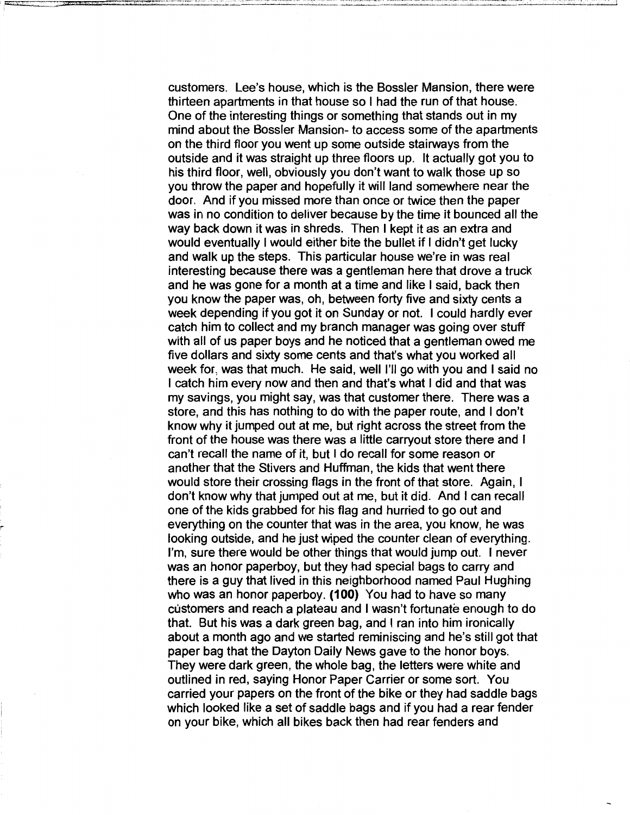customers. Lee's house, which is the Bossler Mansion, there were thirteen apartments in that house so I had the run of that house. One of the interesting things or something that stands out in my mind about the Bossler Mansion- to access some of the apartments on the third floor you went up some outside stairways from the outside and it was straight up three floors up. It actually got you to his third floor, well, obviously you don't want to walk those up so you throw the paper and hopefully it will land somewhere near the door. And if you missed more than once or twice then the paper was in no condition to deliver because by the time it bounced all the way back down it was in shreds. Then I kept it as an extra and would eventually I would either bite the bullet if I didn't get lucky and walk up the steps. This particular house we're in was real interesting because there was a gentleman here that drove a truck and he was gone for a month at a time and like I said, back then you know the paper was, oh, between forty five and sixty cents a week depending if you got it on Sunday or not. I could hardly ever catch him to collect and my branch manager was going over stuff with all of us paper boys and he noticed that a gentleman owed me five dollars and sixty some cents and that's what you worked all week for, was that much. He said, well I'll go with you and I said no I catch him every now and then and that's what I did and that was my savings, you might say, was that customer there. There was a store, and this has nothing to do with the paper route, and I don't know why it jumped out at me, but right across the street from the front of the house was there was a little carryout store there and I can't recall the name of it, but I do recall for some reason or another that the Stivers and Huffman, the kids that went there would store their crossing flags in the front of that store. Again, I don't know why that jumped out at me, but it did. And I can recall one of the kids grabbed for his flag and hurried to go out and everything on the counter that was in the area, you know, he was looking outside, and he just wiped the counter clean of everything. I'm, sure there would be other things that would jump out. I never was an honor paperboy, but they had special bags to carry and there is a guy that lived in this neighborhood named Paul Hughing who was an honor paperboy. **(100)** You had to have so many customers and reach a plateau and I wasn't fortunate enough to do that. But his was a dark green bag, and I ran into him ironically about a month ago and we started reminiscing and he's still got that paper bag that the Dayton Daily News gave to the honor boys. They were dark green, the whole bag, the letters were white and outlined in red, saying Honor Paper Carrier or some sort. You carried your papers on the front of the bike or they had saddle bags which looked like a set of saddle bags and if you had a rear fender on your bike, which all bikes back then had rear fenders and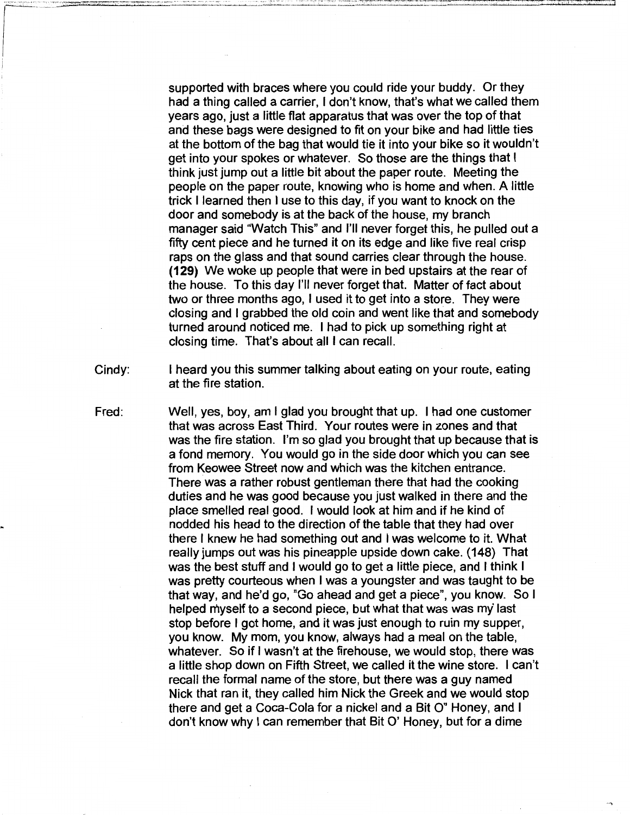supported with braces where you could ride your buddy. Or they had a thing called a carrier, I don't know, that's what we called them years ago, just a little flat apparatus that was over the top of that and these bags were designed to fit on your bike and had little ties at the bottom of the bag that would tie it into your bike so it wouldn't get into your spokes or whatever. So those are the things that I think just jump out a little bit about the paper route. Meeting the people on the paper route, knowing who is horne and when. A little trick I learned then I use to this day, ifyou want to knock on the door and somebody is at the back of the house, my branch manager said "Watch This" and I'll never forget this, he pulled out a fifty cent piece and he turned it on its edge and like five real crisp raps on the glass and that sound carries clear through the house. **(129)** We woke up people that were in bed upstairs at the rear of the house. To this day I'll never forget that. Matter of fact about two or three months ago, I used it to get into a store. They were closing and I grabbed the old coin and went like that and somebody turned around noticed me. I had to pick up something right at closing time. That's about all I can recall.

- Cindy: I heard you this summer talking about eating on your route, eating at the fire station.
- Fred: Well, yes, boy, am I glad you brought that up. I had one customer that was across East Third. Your routes were in zones and that was the fire station. I'm so glad you brought that up because that is a fond memory. Youwould go in the side door which you can see from Keowee Street now and which was the kitchen entrance. There was a rather robust gentleman there that had the cooking duties and he was good because you just walked in there and the place smelled real good. I would look at him and if he kind of nodded his head to the direction of the table that they had over there I knew he had something out and I was welcome to it. What really jumps out was his pineapple upside down cake. (148) That was the best stuff and I would go to get a little piece, and I think I was pretty courteous when I was a youngster and was taught to be that way, and he'd go, "Go ahead and get a piece", you know. So I helped myself to a second piece, but what that was was my last stop before I got horne, and it was just enough to ruin my supper, you know. My mom, you know, always had a meal on the table, whatever. So if I wasn't at the firehouse, we would stop, there was a little shop down on Fifth Street, we called it the wine store. I can't recall the formal name of the store, but there was a guy named Nick that ran it, they called him Nick the Greek and we would stop there and get a Coca-Cola for a nickel and a Bit 0" Honey, and I don't know why I can remember that Bit 0' Honey, but for a dime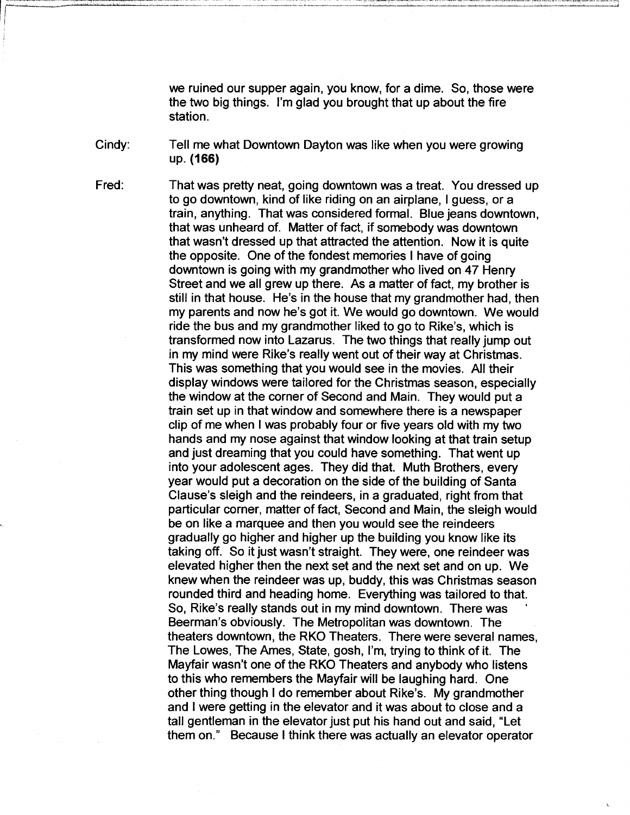we ruined our supper again, you know, for a dime. So, those were the two big things. I'm glad you brought that up about the fire station.

Cindy: Tell me what Downtown Dayton was like when you were growing up. **(166)** 

That was pretty neat, going downtown was a treat. You dressed up to go downtown, kind of like riding on an airplane, I guess, or a train, anything. That was considered formal. Blue jeans downtown, that was unheard of. Matter of fact, if somebody was downtown that wasn't dressed up that attracted the attention. Now it is quite the opposite. One of the fondest memories I have of going downtown is going with my grandmother who lived on 47 Henry Street and we all grew up there. As a matter of fact, my brother is still in that house. He's in the house that my grandmother had, then my parents and now he's got it. We would go downtown. We would ride the bus and my grandmother liked to go to Rike's, which is transformed now into Lazarus. The two things that really jump out in my mind were Rike's really went out of their way at Christmas. This was something that you would see in the movies. All their display windows were tailored for the Christmas season, especially the window at the corner of Second and Main. They would put a train set up in that window and somewhere there is a newspaper clip of me when I was probably four or five years old with my two hands and my nose against that window looking at that train setup and just dreaming that you could have something. That went up into your adolescent ages. They did that. Muth Brothers, every year would put a decoration on the side of the building of Santa Clause's sleigh and the reindeers, in a graduated, right from that particular corner, matter of fact, Second and Main, the sleigh would be on like a marquee and then you would see the reindeers gradually go higher and higher up the building you know like its taking off. So it just wasn't straight. They were, one reindeer was elevated higher then the next set and the next set and on up. We knew when the reindeer was up, buddy, this was Christmas season rounded third and heading home. Everything was tailored to that. So, Rike's really stands out in my mind downtown. There was Beerman's obviously. The Metropolitan was downtown. The theaters downtown, the RKO Theaters. There were several names, The Lowes, The Ames, State, gosh, I'm, trying to think of it. The Mayfair wasn't one of the RKO Theaters and anybody who listens to this who remembers the Mayfair will be laughing hard. One other thing though I do remember about Rike's. My grandmother and I were getting in the elevator and it was about to close and a tall gentleman in the elevator just put his hand out and said, "Let them on." Because I think there was actually an elevator operator

Fred: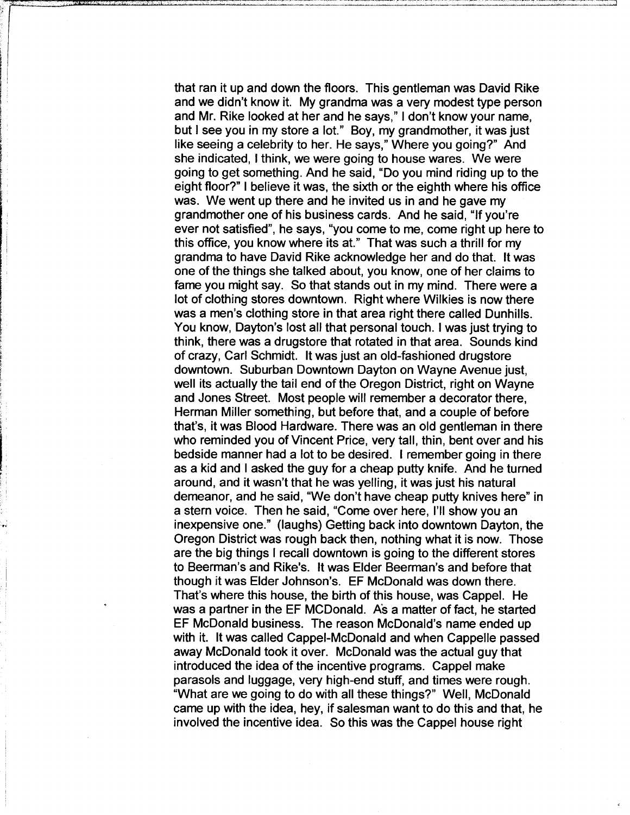that ran it up and down the floors. This gentleman was David Rike and we didn't know it. My grandma was a very modest type person and Mr. Rike looked at her and he says," I don't know your name, but I see you in my store a lot." Boy, my grandmother, it was just like seeing a celebrity to her. He says," Where you going?" And she indicated, I think, we were going to house wares. We were going to get something. And he said, "Do you mind riding up to the eight floor?" I believe it was, the sixth or the eighth where his office was. We went up there and he invited us in and he gave my grandmother one of his business cards. And he said, "If you're ever not satisfied", he says, "you come to me, come right up here to this office, you know where its at." That was such a thrill for my grandma to have David Rike acknowledge her and do that. It was one of the things she talked about, you know, one of her claims to fame you might say. So that stands out in my mind. There were a lot of clothing stores downtown. Right where Wilkies is now there was a men's clothing store in that area right there called Dunhills. You know, Dayton's lost all that personal touch. I was just trying to think, there was a drugstore that rotated in that area. Sounds kind of crazy, Carl Schmidt. It was just an old-fashioned drugstore downtown. Suburban Downtown Dayton on Wayne Avenue just, well its actually the tail end of the Oregon District, right on Wayne and Jones Street. Most people will remember a decorator there, Herman Miller something, but before that, and a couple of before that's, it was Blood Hardware. There was an old gentleman in there who reminded you of Vincent Price, very tall, thin, bent over and his bedside manner had a lot to be desired. I remember going in there as a kid and I asked the guy for a cheap putty knife. And he turned around, and it wasn't that he was yelling, it was just his natural demeanor, and he said, "We don't have cheap putty knives here" in a stern voice. Then he said, "Come over here, I'll show you an inexpensive one." (laughs) Getting back into downtown Dayton, the Oregon District was rough back then, nothing what it is now. Those are the big things I recall downtown is going to the different stores to Beerman's and Rike's. It was Elder Beerman's and before that though it was Elder Johnson's. EF McDonald was down there. That's where this house, the birth of this house, was Cappel. He was a partner in the EF MCDonald. As a matter of fact, he started EF McDonald business. The reason McDonald's name ended up with it. It was called Cappei-McDonald and when Cappelle passed away McDonald took it over. McDonald was the actual guy that introduced the idea of the incentive programs. Cappel make parasols and luggage, very high-end stuff, and times were rough. "What are we going to do with all these things?" Well, McDonald came up with the idea, hey, if salesman want to do this and that, he involved the incentive idea. So this was the Cappel house right

''<br>'''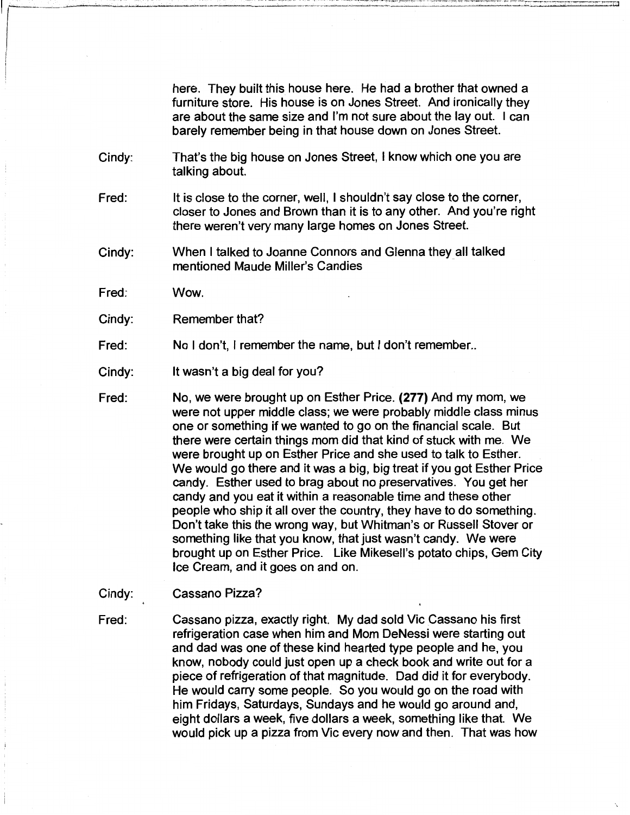here. They built this house here. He had a brother that owned a furniture store. His house is on Jones Street. And ironically they are about the same size and I'm not sure about the lay out. I can barely remember being in that house down on Jones Street.

- Cindy: That's the big house on Jones Street, I know which one you are talking about.
- Fred: It is close to the corner, well, I shouldn't say close to the corner, closer to Jones and Brown than it is to any other. And you're right there weren't very many large homes on Jones Street.
- Cindy: When I talked to Joanne Connors and Glenna they\_all talked mentioned Maude Miller's Candies
- Fred: Wow.
- Cindy: Remember that?
- Fred: No I don't, I remember the name, but I don't remember..
- Cindy: It wasn't a big deal for you?
- Fred: No, we were brought up on Esther Price. **(277)** And my mom, we were not upper middle class; we were probably middle class minus one or something if we wanted to go on the financial scale. But there were certain things mom did that kind of stuck with me. We were brought up on Esther Price and she used to talk to Esther. We would go there and it was a big, big treat if you got Esther Price candy. Esther used to brag about no preservatives. You get her candy and you eat it within a reasonable time and these other people who ship it all over the country, they have to do something. Don't take this the wrong way, but Whitman's or Russell Stover or something like that you know, that just wasn't candy. We were brought up on Esther Price. Like Mikesell's potato chips, Gem City Ice Cream, and it goes on and on.
- Cindy: Cassano Pizza?
- Fred: Cassano pizza, exactly right. My dad sold Vic Cassano his first refrigeration case when him and Mom DeNessi were starting out and dad was one of these kind hearted type people and he, you know, nobody could just open up a check book and write out for a piece of refrigeration of that magnitude. Dad did it for everybody. He would carry some people. So you would go on the road with him Fridays, Saturdays, Sundays and he would go around and, eight dollars a week, five dollars a week, something like that. We would pick up a pizza from Vic every now and then. That was how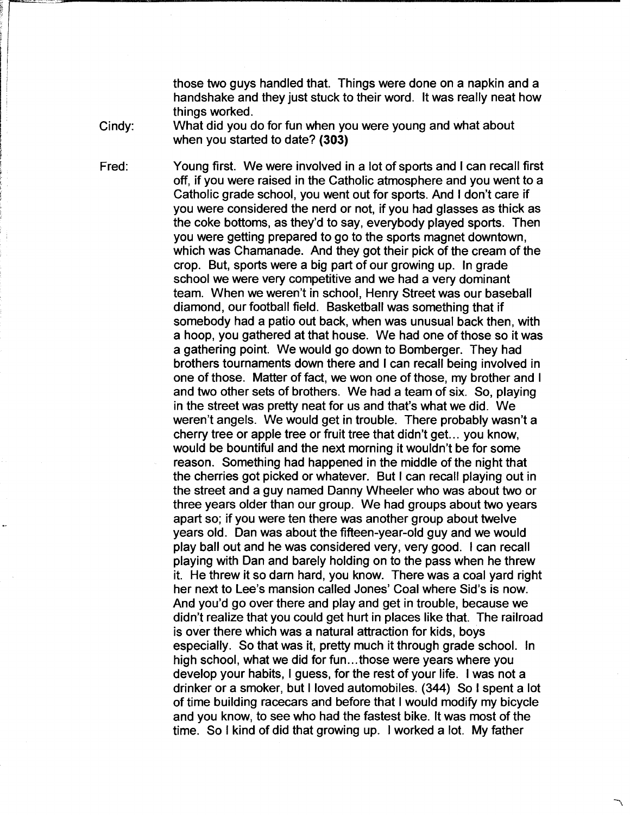those two guys handled that. Things were done on a napkin and a handshake and they just stuck to their word. It was really neat how things worked.

Cindy:

What did you do for fun when you were young and what about when you started to date? **(303)** 

Fred: Young first. We were involved in a lot of sports and I can recall first off, if you were raised in the Catholic atmosphere and you went to a Catholic grade school, you went out for sports. And I don't care if you were considered the nerd or not, if you had glasses as thick as the coke bottoms, as they'd to say, everybody played sports. Then you were getting prepared to go to the sports magnet downtown, which was Chamanade. And they got their pick of the cream of the crop. But, sports were a big part of our growing up. In grade school we were very competitive and we had a very dominant team. When we weren't in school, Henry Street was our baseball diamond, our football field. Basketball was something that if somebody had a patio out back, when was unusual back then, with a hoop, you gathered at that house. We had one of those so it was a gathering point. We would go down to Bomberger. They had brothers tournaments down there and I can recall being involved in one of those. Matter of fact, we won one of those, my brother and I and two other sets of brothers. We had a team of six. So, playing in the street was pretty neat for us and that's what we did. We weren't angels. We would get in trouble. There probably wasn't a cherry tree or apple tree or fruit tree that didn't get. .. you know, would be bountiful and the next morning it wouldn't be for some reason. Something had happened in the middle of the night that the cherries got picked or whatever. But I can recall playing out in the street and a guy named Danny Wheeler who was about two or three years older than our group. We had groups about two years apart so; if you were ten there was another group about twelve years old. Dan was about the fifteen-year-old guy and we would play ball out and he was considered very, very good. I can recall playing with Dan and barely holding on to the pass when he threw it. He threw it so darn hard, you know. There was a coal yard right her next to Lee's mansion called Jones' Coal where Sid's is now. And you'd go over there and play and get in trouble, because we didn't realize that you could get hurt in places like that. The railroad is over there which was a natural attraction for kids, boys especially. So that was it, pretty much it through grade school. In high school, what we did for fun...those were years where you develop your habits, I guess, for the rest of your life. I was not a drinker or a smoker, but I loved automobiles. (344) So I spent a lot of time building racecars and before that I would modify my bicycle and you know, to see who had the fastest bike. It was most of the time. So I kind of did that growing up. I worked a lot. My father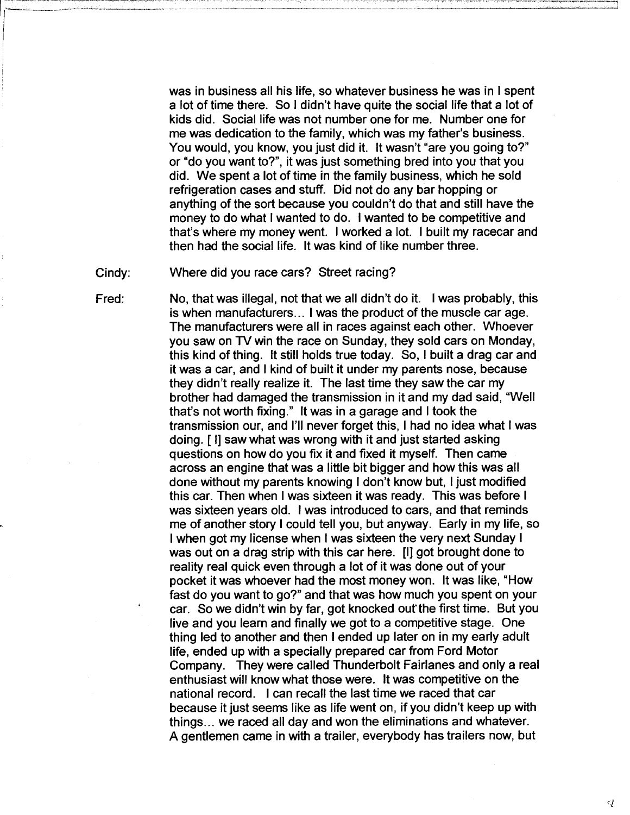was in business all his life, so whatever business he was in I spent a lot of time there. So I didn't have quite the social life that a lot of kids did. Social life was not number one for me. Number one for me was dedication to the family, which was my father's business. You would, you know, you just did it. It wasn't "are you going to?" or "do you want to?", it was just something bred into you that you did. We spent a lot of time in the family business, which he sold refrigeration cases and stuff. Did not do any bar hopping or anything of the sort because you couldn't do that and still have the money to do what I wanted to do. I wanted to be competitive and that's where my money went. I worked a lot. I built my racecar and then had the social life. It was kind of like number three.

Cindy: Where did you race cars? Street racing?

Fred:

No, that was illegal, not that we all didn't do it. I was probably, this is when manufacturers ... I was the product of the muscle car age. The manufacturers were all in races against each other. Whoever you saw on TV win the race on Sunday, they sold cars on Monday, this kind of thing. It still holds true today. So, I built a drag car and it was a car, and I kind of built it under my parents nose, because they didn't really realize it. The last time they saw the car my brother had damaged the transmission in it and my dad said, "Well that's not worth fixing." It was in a garage and I took the transmission our, and I'll never forget this, I had no idea what I was doing. [ I] saw what was wrong with it and just started asking questions on how do you fix it and fixed it myself. Then came across an engine that was a little bit bigger and how this was all done without my parents knowing I don't know but, I just modified this car. Then when I was sixteen it was ready. This was before I was sixteen years old. I was introduced to cars, and that reminds me of another story I could tell you, but anyway. Early in my life, so I when got my license when I was sixteen the very next Sunday I was out on a drag strip with this car here. [I] got brought done to reality real quick even through a lot of it was done out of your pocket it was whoever had the most money won. It was like, "How fast do you want to go?" and that was how much you spent on your car. So we didn't win by far, got knocked out the first time. But you live and you learn and finally we got to a competitive stage. One thing led to another and then I ended up later on in my early adult life, ended up with a specially prepared car from Ford Motor Company. They were called Thunderbolt Fairlanes and only a real enthusiast will know what those were. It was competitive on the national record. I can recall the last time we raced that car because it just seems like as life went on, if you didn't keep up with things ... we raced all day and won the eliminations and whatever. A gentlemen came in with a trailer, everybody has trailers now, but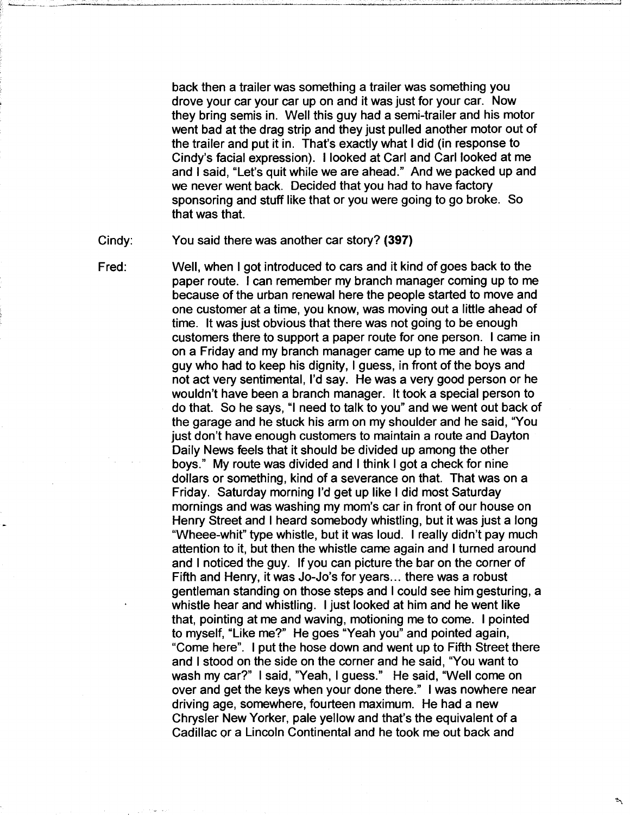back then a trailer was something a trailer was something you drove your car your car up on and it was just for your car. Now they bring semis in. Well this guy had a semi-trailer and his motor went bad at the drag strip and they just pulled another motor out of the trailer and put it in. That's exactly what I did (in response to Cindy's facial expression). I looked at Carl and Carl looked at me and I said, "Let's quit while we are ahead." And we packed up and we never went back. Decided that you had to have factory sponsoring and stuff like that or you were going to go broke. So that was that.

Cindy: You said there was another car story? **(397)** 

----...;.\_\_. \_\_\_\_\_ \_\_\_\_.,\_.\_

Fred: Well, when I got introduced to cars and it kind of goes back to the paper route. I can remember my branch manager coming up to me because of the urban renewal here the people started to move and one customer at a time, you know, was moving out a little ahead of time. It was just obvious that there was not going to be enough customers there to support a paper route for one person. I came in on a Friday and my branch manager came up to me and he was a guy who had to keep his dignity, I guess, in front of the boys and not act very sentimental, I'd say. He was a very good person or he wouldn't have been a branch manager. It took a special person to do that. So he says, "I need to talk to you" and we went out back of the garage and he stuck his arm on my shoulder and he said, "You just don't have enough customers to maintain a route and Dayton Daily News feels that it should be divided up among the other boys." My route was divided and I think I got a check for nine dollars or something, kind of a severance on that. That was on a Friday. Saturday morning I'd get up like I did most Saturday mornings and was washing my mom's car in front of our house on Henry Street and I heard somebody whistling, but it was just a long "Wheee-whit" type whistle, but it was loud. I really didn't pay much attention to it, but then the whistle came again and I turned around and I noticed the guy. If you can picture the bar on the corner of Fifth and Henry, it was Jo-Jo's for years... there was a robust gentleman standing on those steps and I could see him gesturing, a whistle hear and whistling. I just looked at him and he went like that, pointing at me and waving, motioning me to come. I pointed to myself, "Like me?" He goes "Yeah you" and pointed again, "Come here". I put the hose down and went up to Fifth Street there and I stood on the side on the corner and he said, "You want to wash my car?" I said, "Yeah, I guess." He said, "Well come on over and get the keys when your done there." I was nowhere near driving age, somewhere, fourteen maximum. He had a new Chrysler New Yorker, pale yellow and that's the equivalent of a Cadillac or a Lincoln Continental and he took me out back and

 $\ddot{\phantom{a}}$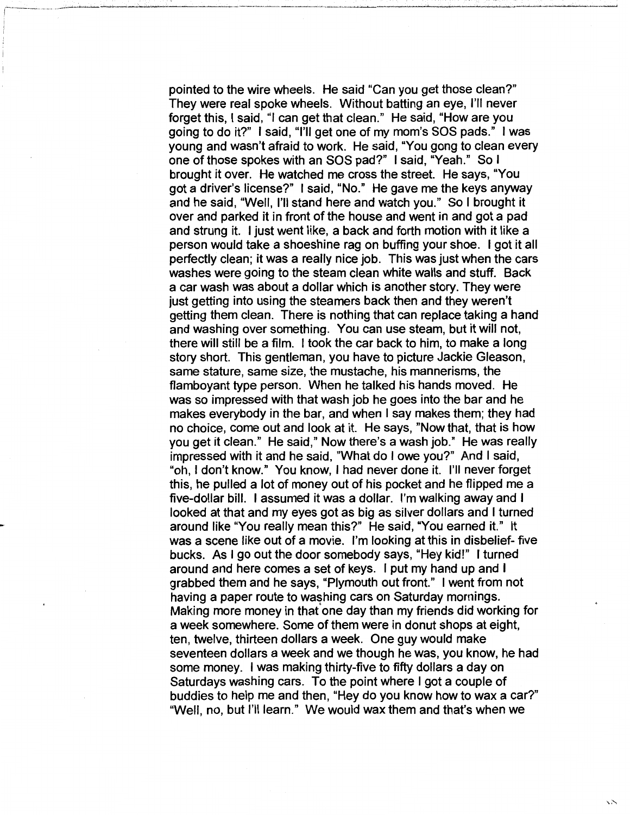pointed to the wire wheels. He said "Can you get those clean?" They were real spoke wheels. Without batting an eye, I'll never forget this, I said, "I can get that clean." He said, "How are you going to do it?" I said, "I'll get one of my mom's SOS pads." I was young and wasn't afraid to work. He said, "You gong to clean every one ofthose spokes with an SOS pad?" I said, "Yeah." So I brought it over. He watched me cross the street. He says, "You got a driver's license?" I said, "No." He gave me the keys anyway and he said, "Well, I'll stand here and watch you." So I brought it over and parked it in front of the house and went in and got a pad and strung it. I just went like, a back and forth motion with it like a person would take a shoeshine rag on buffing your shoe. I got it all perfectly clean; it was a really nice job. This was just when the cars washes were going to the steam clean white walls and stuff. Back a car wash was about a dollar which is another story. They were just getting into using the steamers back then and they weren't getting them clean. There is nothing that can replace taking a hand and washing over something. You can use steam, but it will not, there will still be a film. I took the car back to him, to make a long story short. This gentleman, you have to picture Jackie Gleason, same stature, same size, the mustache, his mannerisms, the flamboyant type person. When he talked his hands moved. He was so impressed with that wash job he goes into the bar and he makes everybody in the bar, and when I say makes them; they had no choice, come out and look at it. He says, "Now that, that is how you get it clean." He said," Now there's a wash job." He was really impressed with it and he said, "What do I owe you?" And I said, "oh, I don't know." You know, I had never done it. I'll never forget this, he pulled a lot of money out of his pocket and he flipped me a five-dollar bill. I assumed it was a dollar. I'm walking away and I looked at that and my eyes got as big as silver dollars and I turned around like "You really mean this?" He said, "You earned it." It was a scene like out of a movie. I'm looking at this in disbelief- five bucks. As I go out the door somebody says, "Hey kid!" I turned around and here comes a set of keys. I put my hand up and I grabbed them and he says, "Plymouth out front." I went from not having a paper route to washing cars on Saturday mornings. Making more money in that one day than my friends did working for a week somewhere. Some of them were in donut shops at eight, ten, twelve, thirteen dollars a week. One guy would make seventeen dollars a week and we though he was, you know, he had some money. I was making thirty-five to fifty dollars a day on Saturdays washing cars. To the point where I got a couple of buddies to help me and then, "Hey do you know how to wax a car?" "Well, no, but I'll learn." We would wax them and that's when we

 $\sim$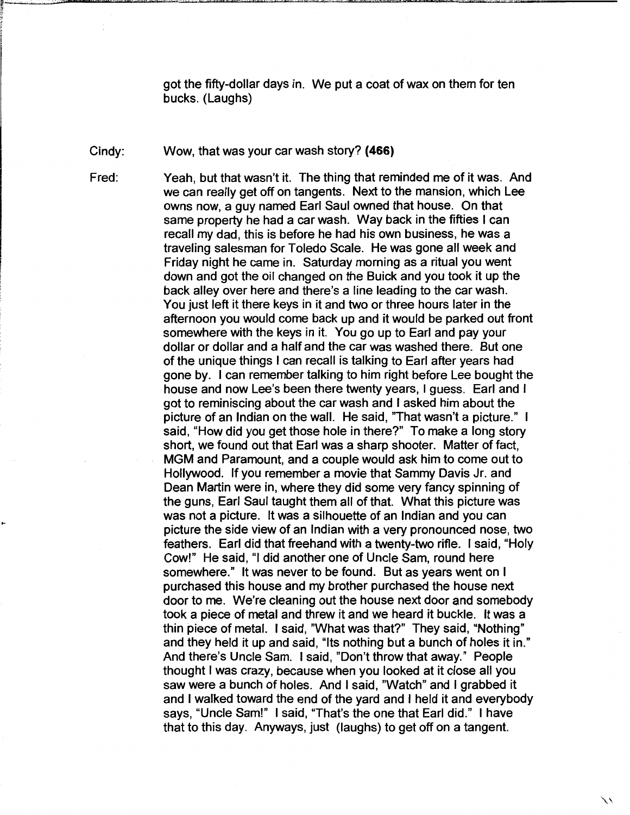got the fifty-dollar days in. We put a coat of wax on them for ten bucks. (Laughs)

Cindy: Wow, that was your car wash story? **(466)** 

Fred:

..

Yeah, but that wasn't it. The thing that reminded me of it was. And we can really get off on tangents. Next to the mansion, which Lee owns now, a guy named Earl Saul owned that house. On that same property he had a car wash. Way back in the fifties I can recall my dad, this is before he had his own business, he was a traveling salesman for Toledo Scale. He was gone all week and Friday night he came in. Saturday morning as a ritual you went down and got the oil changed on the Buick and you took it up the back alley over here and there's a line leading to the car wash. You just left it there keys in it and two or three hours later in the afternoon you would come back up and it would be parked out front somewhere with the keys in it. You go up to Earl and pay your dollar or dollar and a half and the car was washed there. But one of the unique things I can recall is talking to Earl after years had gone by. I can remember talking to him right before Lee bought the house and now Lee's been there twenty years, I guess. Earl and I got to reminiscing about the car wash and I asked him about the picture of an Indian on the wall. He said, 'That wasn't a picture." I said, "How did you get those hole in there?" To make a long story short, we found out that Earl was a sharp shooter. Matter of fact, MGM and Paramount, and a couple would ask him to come out to Hollywood. If you remember a movie that Sammy Davis Jr. and Dean Martin were in, where they did some very fancy spinning of the guns, Earl Saul taught them all of that. What this picture was was not a picture. It was a silhouette of an Indian and you can picture the side view of an Indian with a very pronounced nose, two feathers. Earl did that freehand with a twenty-two rifle. I said, "Holy Cow!" He said, "I did another one of Uncle Sam, round here somewhere." It was never to be found. But as years went on I purchased this house and my brother purchased the house next door to me. We're cleaning out the house next door and somebody took a piece of metal and threw it and we heard it buckle. It was a thin piece of metal. I said, "What was that?" They said, "Nothing" and they held it up and said, "Its nothing but a bunch of holes it in." And there's Uncle Sam. I said, "Don't throw that away." People thought I was crazy, because when you looked at it close all you saw were a bunch of holes. And I said, "Watch" and I grabbed it and I walked toward the end of the yard and I held it and everybody says, "Uncle Sam!" I said, "That's the one that Earl did." I have

that to this day. Anyways, just (laughs) to get off on a tangent.

ハ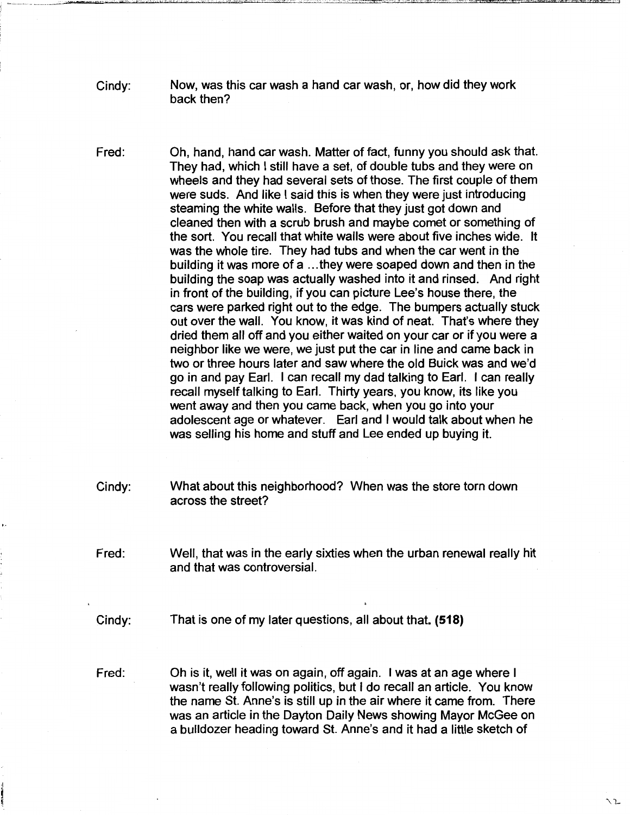- Cindy: Now, was this car wash a hand car wash, or, how did they work back then?
- Fred: Oh, hand, hand car wash. Matter of fact, funny you should ask that. They had, which I still have a set, of double tubs and they were on wheels and they had several sets of those. The first couple of them were suds. And like I said this is when they were just introducing steaming the white walls. Before that they just got down and cleaned then with a scrub brush and maybe comet or something of the sort. You recall that white walls were about five inches wide. It was the whole tire. They had tubs and when the car went in the building it was more of a ... they were soaped down and then in the building the soap was actually washed into it and rinsed. And right in front of the building, if you can picture Lee's house there, the cars were parked right out to the edge. The bumpers actually stuck out over the wall. You know, it was kind of neat. That's where they dried them all off and you either waited on your car or if you were a neighbor like we were, we just put the car in line and came back in two or three hours later and saw where the old Buick was and we'd go in and pay Earl. I can recall my dad talking to Earl. I can really recall myself talking to Earl. Thirty years, you know, its like you went away and then you came back, when you go into your adolescent age or whatever. Earl and I would talk about when he was selling his home and stuff and Lee ended up buying it.
- Cindy: What about this neighborhood? When was the store torn down across the street?
- Fred: Well, that was in the early sixties when the urban renewal really hit and that was controversial.
- Cindy: That is one of my later questions, all about that. **(518)**
- Fred: Oh is it, well it was on again, off again. I was at an age where I wasn't really following politics, but I do recall an article. You know the name St. Anne's is still up in the air where it came from. There was an article in the Dayton Daily News showing Mayor McGee on a bulldozer heading toward St. Anne's and it had a little sketch of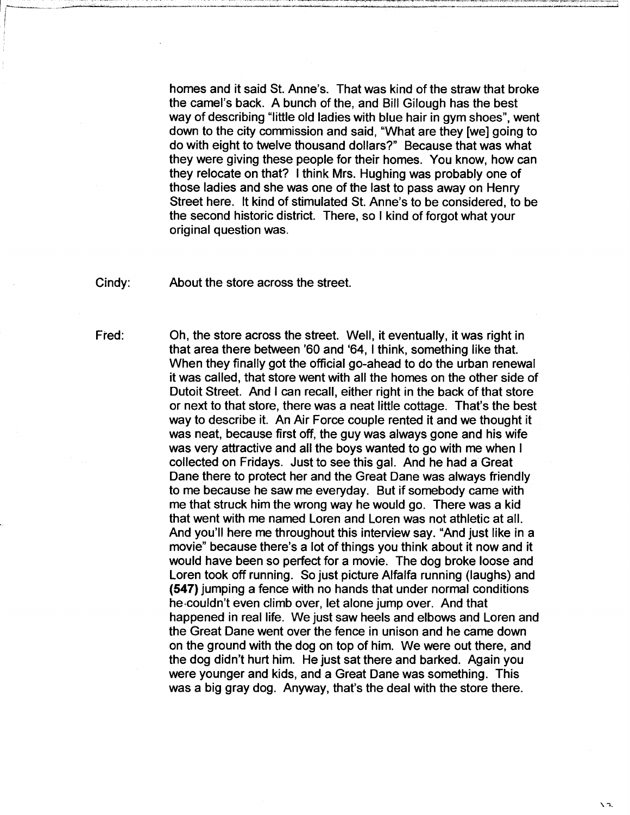homes and it said St. Anne's. That was kind of the straw that broke the camel's back. A bunch of the, and Bill Gilough has the best way of describing "little old ladies with blue hair in gym shoes", went down to the city commission and said, "What are they [we] going to do with eight to twelve thousand dollars?" Because that was what they were giving these people for their homes. You know, how can they relocate on that? I think Mrs. Hughing was probably one of those ladies and she was one of the last to pass away on Henry Street here. It kind of stimulated St. Anne's to be considered, to be the second historic district. There, so I kind of forgot what your original question was.

Cindy: About the store across the street.

Fred: Oh, the store across the street. Well, it eventually, it was right in that area there between '60 and '64, I think, something like that. When they finally got the official go-ahead to do the urban renewal it was called, that store went with all the homes on the other side of Dutoit Street. And I can recall, either right in the back of that store or next to that store, there was a neat little cottage. That's the best way to describe it. An Air Force couple rented it and we thought it was neat, because first off, the guy was always gone and his wife was very attractive and all the boys wanted to go with me when I collected on Fridays. Just to see this gal. And he had a Great Dane there to protect her and the Great Dane was always friendly to me because he saw me everyday. But if somebody came with me that struck him the wrong way he would go. There was a kid that went with me named Loren and Loren was not athletic at all. And you'll here me throughout this interview say. "And just like in a movie" because there's a lot of things you think about it now and it would have been so perfect for a movie. The dog broke loose and Loren took off running. So just picture Alfalfa running (laughs) and **(547)** jumping a fence with no hands that under normal conditions he-couldn't even climb over, let alone jump over. And that happened in real life. We just saw heels and elbows and Loren and the Great Dane went over the fence in unison and he came down on the ground with the dog on top of him. We were out there, and the dog didn't hurt him. He just sat there and barked. Again you were younger and kids, and a Great Dane was something. This was a big gray dog. Anyway, that's the deal with the store there.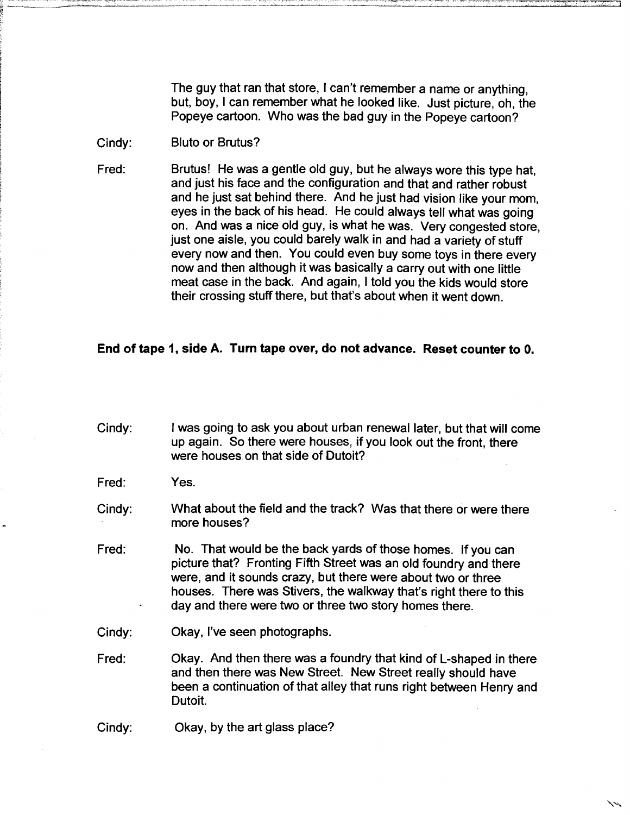The guy that ran that store, I can't remember a name or anything, but, boy, I can remember what he looked like. Just picture, oh, the Popeye cartoon. Who was the bad guy in the Popeye cartoon?

#### Cindy: **Bluto or Brutus?**

Fred: Brutus! He was a gentie old guy, but he always wore this type hat, and just his face and the configuration and that and rather robust and he just sat behind there. And he just had vision like your mom, eyes in the back of his head. He could always tell what was going on. And was a nice old guy, is what he was. Very congested store, just one aisle, you could barely walk in and had a variety of stuff every now and then. You could even buy some toys in there every now and then although it was basically a carry out with one little meat case in the back. And again, I told you the kids would store their crossing stuff there, but that's about when it went down.

#### **End of tape 1, side A. Turn tape over, do not advance. Reset counter to 0.**

Cindy: I was going to ask you about urban renewal later, but that will come up again. So there were houses, if you look out the front, there were houses on that side of Dutoit?

Fred: Yes.

Cindy: What about the field and the track? Was that there or were there more houses?

Fred: No. That would be the back yards of those homes. If you can picture that? Fronting Fifth Street was an old foundry and there were, and it sounds crazy, but there were about two or three houses. There was Stivers, the walkway that's right there to this day and there were two or three two story homes there.

Cindy: Cindy: Cindy: Cindy: Cindy: Cindy: Chequendel Contains Contains Contains Contains Contains Contains Contains Contains Contains Contains Contains Contains Contains Contains Contains Contains Contains Contains Contain

Fred: Okay. And then there was a foundry that kind of L-shaped in there and then there was New Street. New Street really should have been a continuation of that alley that runs right between Henry and Dutoit.

Cindy: Cindy: Cindy, by the art glass place?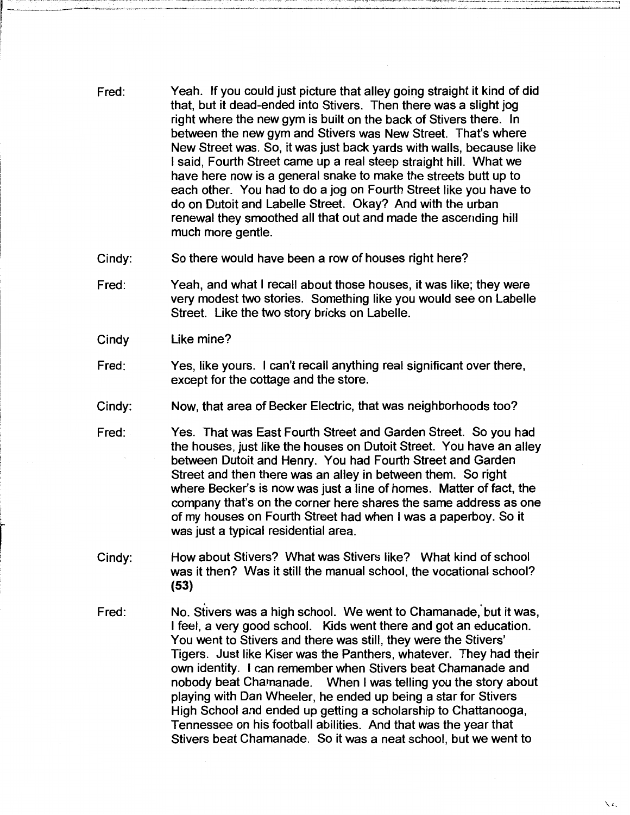- Fred: Yeah. If you could just picture that alley going straight it kind of did that, but it dead-ended into Stivers. Then there was a slight jog right where the new gym is built on the back of Stivers there. In between the new gym and Stivers was New Street. That's where New Street was. So, it was just back yards with walls, because like I said, Fourth Street came up a real steep straight hill. What we have here now is a general snake to make the streets butt up to each other. You had to do a jog on Fourth Street like you have to do on Dutoit and Labelle Street. Okay? And with the urban renewal they smoothed all that out and made the ascending hill much more gentle.
- Cindy: So there would have been a row of houses right here?
- Fred: Yeah, and what I recall about those houses, it was like; they were very modest two stories. Something like you would see on Labelle Street. Like the two story bricks on Labelle.
- Cindy Like mine?

 $|$  , and  $|$ 

I i

r

- Fred: Yes, like yours. I can't recall anything real significant over there, except for the cottage and the store.
- Cindy: Now, that area of Becker Electric, that was neighborhoods too?
- Fred: Yes. That was East Fourth Street and Garden Street. So you had the houses, just like the houses on Dutoit Street. You have an alley between Dutoit and Henry. You had Fourth Street and Garden Street and then there was an alley in between them. So right where Becker's is now was just a line of homes. Matter of fact, the company that's on the corner here shares the same address as one of my houses on Fourth Street had when I was a paperboy. So it was just a typical residential area.
- Cindy: How about Stivers? What was Stivers like? What kind of school was it then? Was it still the manual school, the vocational school? (53)
- Fred: No. Stivers was a high school. We went to Chamanade, but it was, I feel, a very good school. Kids went there and got an education. You went to Stivers and there was still, they were the Stivers' Tigers. Just like Kiser was the Panthers, whatever. They had their own identity. I can remember when Stivers beat Chamanade and nobody beat Chamanade. When I was telling you the story about playing with Dan Wheeler, he ended up being a star for Stivers High School and ended up getting a scholarship to Chattanooga, Tennessee on his football abilities. And that was the year that Stivers beat Chamanade. So it was a neat school, but we went to

*\c.*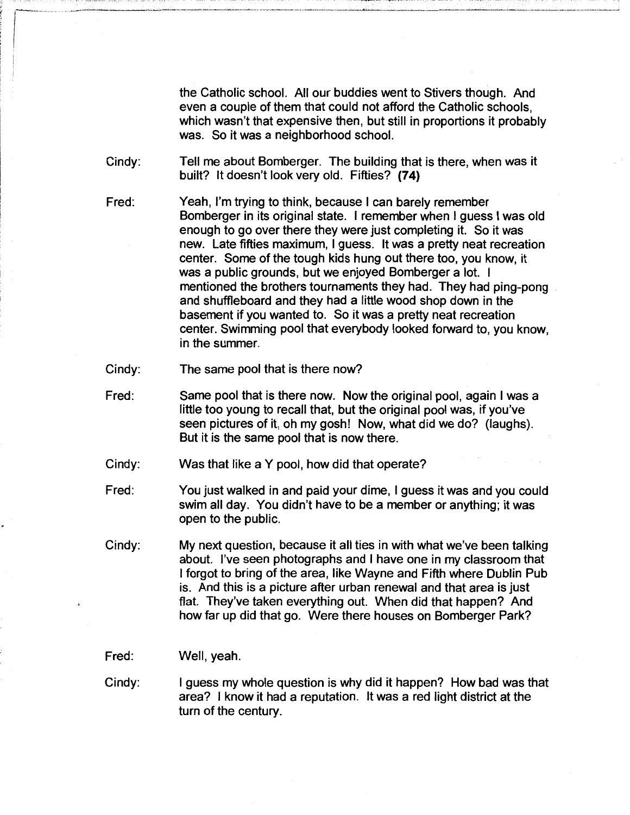the Catholic school. All our buddies went to Stivers though. And even a couple of them that could not afford the Catholic schools, which wasn't that expensive then, but still in proportions it probably was. So it was a neighborhood school.

Cindy: Tell me about Bomberger. The building that is there, when was it built? It doesn't look very old. Fifties? (74)

- Fred: Yeah, I'm trying to think, because I can barely remember Bomberger in its original state. I remember when I guess I was old enough to go over there they were just completing it. So it was new. Late fifties maximum, I guess. It was a pretty neat recreation center. Some of the tough kids hung out there too, you know, it was a public grounds, but we enjoyed Bomberger a lot. I mentioned the brothers tournaments they had. They had ping-pong and shuffleboard and they had a little wood shop down in the basement if you wanted to. So it was a pretty neat recreation center. Swimming pool that everybody looked forward to, you know, in the summer.
- Cindy: The same pool that is there now?
- Fred: Same pool that is there now. Now the original pool, again I was a little too young to recall that, but the original pool was, if you've seen pictures of it, oh my gosh! Now, what did we do? (laughs). But it is the same pool that is now there.
- Cindy: Was that like a Y pool, how did that operate?
- Fred: You just walked in and paid your dime, I guess it was and you could swim all day. You didn't have to be a member or anything; it was open to the public.
- Cindy: My next question, because it all ties in with what we've been talking about. I've seen photographs and I have one in my classroom that I forgot to bring of the area, like Wayne and Fifth where Dublin Pub is. And this is a picture after urban renewal and that area is just flat. They've taken everything out. When did that happen? And how far up did that go. Were there houses on Bomberger Park?
- Fred: Well, yeah.
- Cindy: I guess my whole question is why did it happen? How bad was that area? I know it had a reputation. It was a red light district at the turn of the century.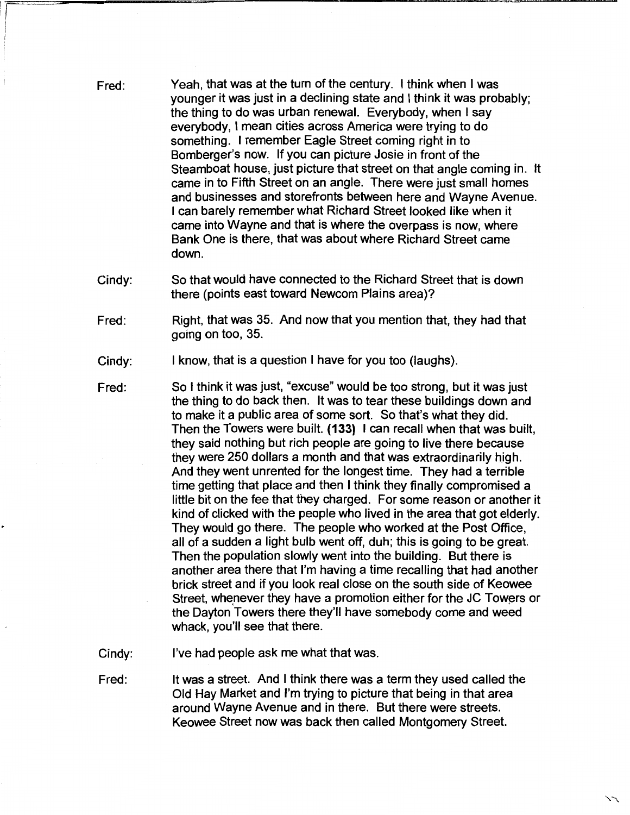Fred: Yeah, that was at the turn of the century. I think when I was younger it was just in a declining state and I think it was probably; the thing to do was urban renewal. Everybody, when I say everybody, I mean cities across America were trying to do something. I remember Eagle Street coming right in to Bomberger's now. If you can picture Josie in front of the Steamboat house, just picture that street on that angle coming in. It came in to Fifth Street on an angle. There were just small homes and businesses and storefronts between here and Wayne Avenue. I can barely remember what Richard Street looked like when it came into Wayne and that is where the overpass is now, where Bank One is there, that was about where Richard Street came down.

Cindy: So that would have connected to the Richard Street that is down there (points east toward Newcom Plains area)?

Fred: Right, that was 35. And now that you mention that, they had that going on too, 35.

Cindy: I know, that is a question I have for you too (laughs).

i

'I~

Fred: So I think it was just, "excuse" would be too strong, but it was just the thing to do back then. It was to tear these buildings down and to make it a public area of some sort. So that's what they did. Then the Towers were built. **(133)** I can recall when that was built, they said nothing but rich people are going to live there because they were 250 dollars a month and that was extraordinarily high. And they went unrented for the longest time. They had a terrible time getting that place and then I think they finally compromised a little bit on the fee that they charged. For some reason or another it kind of clicked with the people who lived in the area that got elderly. They would go there. The people who worked at the Post Office, all of a sudden a light bulb went off, duh; this is going to be great. Then the population slowly went into the building. But there is another area there that I'm having a time recalling that had another brick street and if you look real close on the south side of Keowee Street, whenever they have a promotion either for the JC Towers or the Dayton Towers there they'll have somebody come and weed whack, you'll see that there.

Cindy: I've had people ask me what that was.

Fred: It was a street. And I think there was a term they used called the Old Hay Market and I'm trying to picture that being in that area around Wayne Avenue and in there. But there were streets. Keowee Street now was back then called Montgomery Street.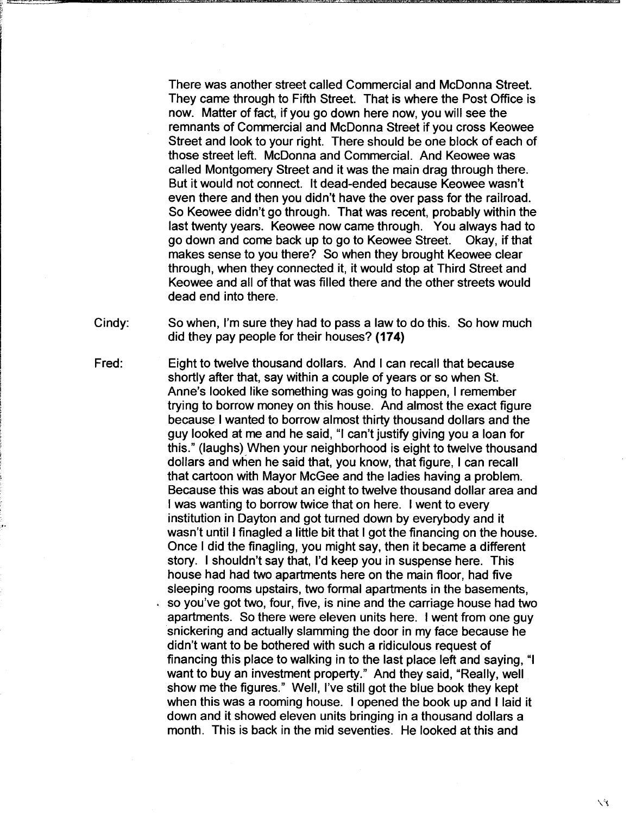There was another street called Commercial and McDonna Street. They came through to Fifth Street. That is where the Post Office is now. Matter of fact, if you go down here now, you will see the remnants of Commercial and McDonna Street if you cross Keowee Street and look to your right. There should be one block of each of those street left. McDonna and Commercial. And Keowee was called Montgomery Street and it was the main drag through there. But it would not connect. It dead-ended because Keowee wasn't even there and then you didn't have the over pass for the railroad. So Keowee didn't go through. That was recent, probably within the last twenty years. Keowee now came through. You always had to go down and come back up to go to Keowee Street. Okay, if that makes sense to you there? So when they brought Keowee clear through, when they connected it, it would stop at Third Street and Keowee and all of that was filled there and the other streets would dead end into there.

Cindy: So when, I'm sure they had to pass a law to do this. So how much did they pay people for their houses? **(174)** 

Fred: Eight to twelve thousand dollars. And I can recall that because shortly after that, say within a couple of years or so when St. Anne's looked like something was going to happen, I remember trying to borrow money on this house. And almost the exact figure because I wanted to borrow almost thirty thousand dollars and the guy looked at me and he said, "I can't justify giving you a loan for this." (laughs) When your neighborhood is eight to twelve thousand dollars and when he said that, you know, that figure, I can recall that cartoon with Mayor McGee and the ladies having a problem. Because this was about an eight to twelve thousand dollar area and I was wanting to borrow twice that on here. I went to every institution in Dayton and got turned down by everybody and it wasn't until I finagled a little bit that I got the financing on the house. Once I did the finagling, you might say, then it became a different story. I shouldn't say that, I'd keep you in suspense here. This house had had two apartments here on the main floor, had five sleeping rooms upstairs, two formal apartments in the basements, so you've got two, four, five, is nine and the carriage house had two apartments. So there were eleven units here. I went from one guy snickering and actually slamming the door in my face because he didn't want to be bothered with such a ridiculous request of financing this place to walking in to the last place left and saying, "I want to buy an investment property." And they said, "Really, well show me the figures." Well, I've still got the blue book they kept when this was a rooming house. I opened the book up and I laid it down and it showed eleven units bringing in a thousand dollars a month. This is back in the mid seventies. He looked at this and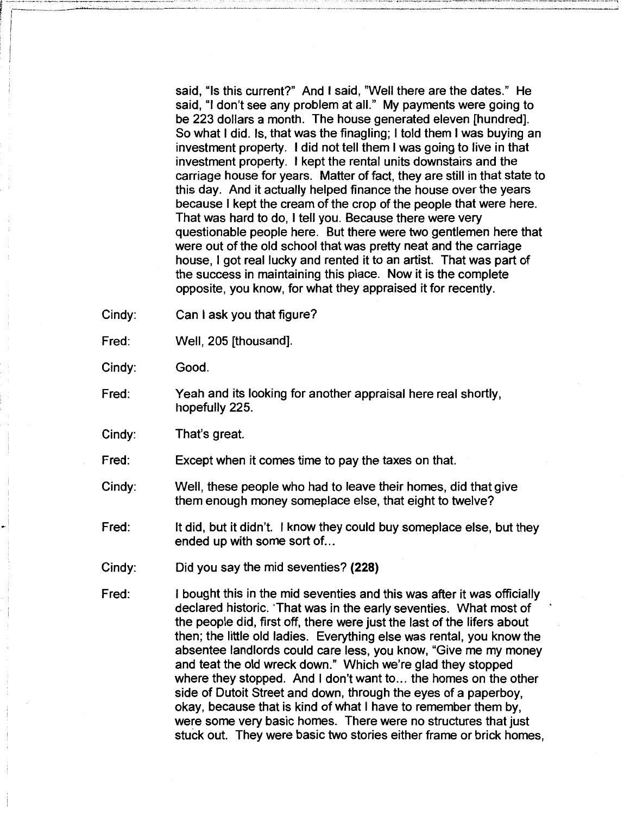said, "Is this current?" And I said, "Well there are the dates." He said, "I don't see any problem at all." My payments were going to be 223 dollars a month. The house generated eleven [hundred]. So what I did. Is, that was the finagling; I told them I was buying an investment property. I did not tell them I was going to live in that investment property. I kept the rental units downstairs and the carriage house for years. Matter of fact, they are still in that state to this day. And it actually helped finance the house over the years because I kept the cream of the crop of the people that were here. That was hard to do, I tell you. Because there were very questionable people here. But there were two gentlemen here that were out of the old school that was pretty neat and the carriage house, I got real lucky and rented it to an artist. That was part of the success in maintaining this place. Now it is the complete opposite, you know, for what they appraised it for recently.

- Cindy: Can I ask you that figure?
- Fred: Well, 205 [thousand].

Cindy: Good.

- Fred: Yeah and its looking for another appraisal here real shortly, hopefully 225.
- Cindy: That's great.
- Fred: Except when it comes time to pay the taxes on that.
- Cindy: Well, these people who had to leave their homes, did that give them enough money someplace else, that eight to twelve?
- Fred: It did, but it didn't. I know they could buy someplace else, but they ended up with some sort of...
- Cindy: Did you say the mid seventies? **(228)**
- Fred: I bought this in the mid seventies and this was after it was officially declared historic. 'That was in the early seventies. What most of the people did, first off, there were just the last of the lifers about then; the little old ladies. Everything else was rental, you know the absentee landlords could care less, you know, "Give me my money and teat the old wreck down." Which we're glad they stopped where they stopped. And I don't want to... the homes on the other side of Dutoit Street and down, through the eyes of a paperboy, okay, because that is kind of what I have to remember them by, were some very basic homes. There were no structures that just stuck out. They were basic two stories either frame or brick homes,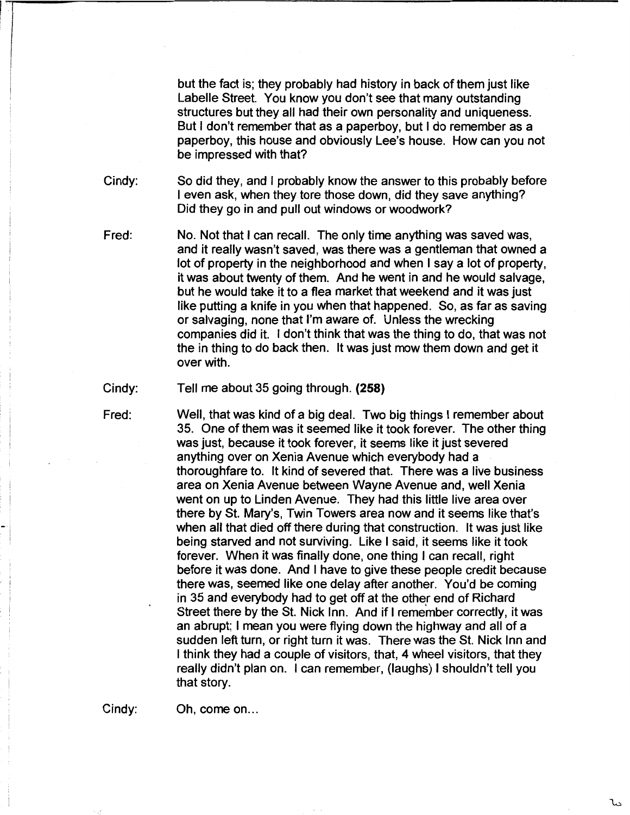but the fact is; they probably had history in back of them just like Labelle Street. You know you don't see that many outstanding structures but they all had their own personality and uniqueness. But I don't remember that as a paperboy, but I do remember as a paperboy, this house and obviously Lee's house. How can you not be impressed with that?

Cindy: So did they, and I probably know the answer to this probably before I even ask, when they tore those down, did they save anything? Did they go in and pull out windows or woodwork?

Fred: No. Not that I can recall. The only time anything was saved was, and it really wasn't saved, was there was a gentleman that owned a lot of property in the neighborhood and when I say a lot of property, it was about twenty of them. And he went in and he would salvage, but he would take it to a flea market that weekend and it was just like putting a knife in you when that happened. So, as far as saving or salvaging, none that I'm aware of. Unless the wrecking companies did it. I don't think that was the thing to do, that was not the in thing to do back then. It was just mow them down and get it over with.

Cindy: Tell me about 35 going through. **(258)** 

Fred:

Well, that was kind of a big deal. Two big things I remember about 35. One of them was it seemed like it took forever. The other thing was just, because it took forever, it seems like it just severed anything over on Xenia Avenue which everybody had a thoroughfare to. It kind of severed that. There was a live business area on Xenia Avenue between Wayne Avenue and, well Xenia went on up to Linden Avenue. They had this little live area over there by St. Mary's, Twin Towers area now and it seems like that's when all that died off there during that construction. It was just like being starved and not surviving. Like I said, it seems like it took forever. When it was finally done, one thing I can recall, right before it was done. And I have to give these people credit because there was, seemed like one delay after another. You'd be coming in 35 and everybody had to get off at the other end of Richard Street there by the St. Nick Inn. And if I remember correctly, it was an abrupt; I mean you were flying down the highway and all of a sudden left turn, or right turn it was. There was the St. Nick Inn and I think they had a couple of visitors, that, 4 wheel visitors, that they really didn't plan on. I can remember, (laughs) I shouldn't tell you that story.

Cindy: Oh, come on...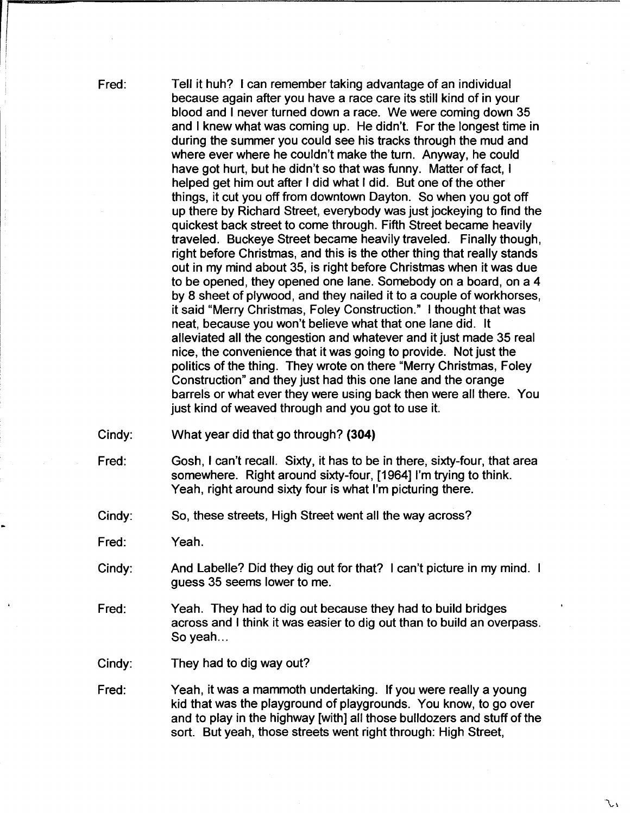Fred:

Tell it huh? I can remember taking advantage of an individual because again after you have a race care its still kind of in your blood and I never turned down a race. We were coming down 35 and I knew what was coming up. He didn't. For the longest time in during the summer you could see his tracks through the mud and where ever where he couldn't make the turn. Anyway, he could have got hurt, but he didn't so that was funny. Matter of fact, I helped get him out after I did what I did. But one of the other things, it cut you off from downtown Dayton. So when you got off up there by Richard Street, everybody was just jockeying to find the quickest back street to come through. Fifth Street became heavily traveled. Buckeye Street became heavily traveled. Finally though, right before Christmas, and this is the other thing that really stands out in my mind about 35, is right before Christmas when it was due to be opened, they opened one lane. Somebody on a board, on a 4 by 8 sheet of plywood, and they nailed it to a couple of workhorses, it said "Merry Christmas, Foley Construction." I thought that was neat, because you won't believe what that one lane did. It alleviated all the congestion and whatever and it just made 35 real nice, the convenience that it was going to provide. Not just the politics of the thing. They wrote on there "Merry Christmas, Foley Construction" and they just had this one lane and the orange barrels or what ever they were using back then were all there. You just kind of weaved through and you got to use it.

- Cindy: What year did that go through? **(304)**
- Fred: Gosh, I can't recall. Sixty, it has to be in there, sixty-four, that area somewhere. Right around sixty-four, [1964] I'm trying to think. Yeah, right around sixty four is what I'm picturing there.
- Cindy: So, these streets, High Street went all the way across?

Fred: Yeah.

- Cindy: And Labelle? Did they dig out for that? I can't picture in my mind. guess 35 seems lower to me.
- Fred: Yeah. They had to dig out because they had to build bridges across and I think it was easier to dig out than to build an overpass. So yeah...
- Cindy: They had to dig way out?
- Fred: Yeah, it was a mammoth undertaking. If you were really a young kid that was the playground of playgrounds. You know, to go over and to play in the highway [with] all those bulldozers and stuff of the sort. But yeah, those streets went right through: High Street,

۱ را